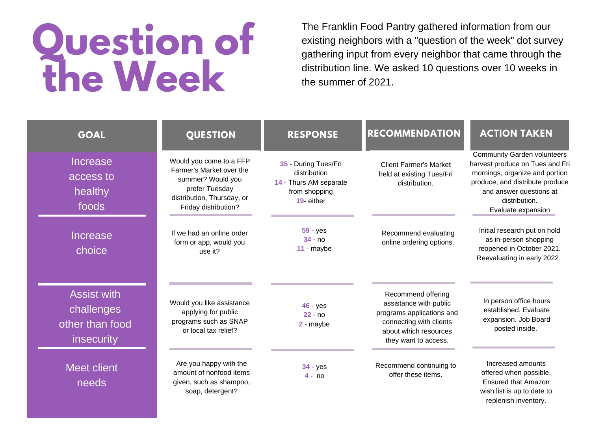## **Question of the Week**

The Franklin Food Pantry gathered information from our existing neighbors with a "question of the week" dot survey gathering input from every neighbor that came through the distribution line. We asked 10 questions over 10 weeks in the summer of 2021.

| <b>GOAL</b>                                                       | <b>QUESTION</b>                                                                                                                                  | <b>RESPONSE</b>                                                                               | <b>RECOMMENDATION</b>                                                                                                                                 | <b>ACTION TAKEN</b>                                                                                                                                                                                          |
|-------------------------------------------------------------------|--------------------------------------------------------------------------------------------------------------------------------------------------|-----------------------------------------------------------------------------------------------|-------------------------------------------------------------------------------------------------------------------------------------------------------|--------------------------------------------------------------------------------------------------------------------------------------------------------------------------------------------------------------|
| <b>Increase</b><br>access to<br>healthy<br>foods                  | Would you come to a FFP<br>Farmer's Market over the<br>summer? Would you<br>prefer Tuesday<br>distribution, Thursday, or<br>Friday distribution? | 35 - During Tues/Fri<br>distribution<br>14 - Thurs AM separate<br>from shopping<br>19- either | <b>Client Farmer's Market</b><br>held at existing Tues/Fri<br>distribution.                                                                           | <b>Community Garden volunteers</b><br>harvest produce on Tues and Fri<br>mornings, organize and portion<br>produce, and distribute produce<br>and answer questions at<br>distribution.<br>Evaluate expansion |
| <b>Increase</b><br>choice                                         | If we had an online order<br>form or app, would you<br>use it?                                                                                   | $59 - yes$<br>$34 - no$<br>11 - maybe                                                         | Recommend evaluating<br>online ordering options.                                                                                                      | Initial research put on hold<br>as in-person shopping<br>reopened in October 2021.<br>Reevaluating in early 2022.                                                                                            |
| <b>Assist with</b><br>challenges<br>other than food<br>insecurity | Would you like assistance<br>applying for public<br>programs such as SNAP<br>or local tax relief?                                                | 46 - yes<br>$22 - no$<br>2 - maybe                                                            | Recommend offering<br>assistance with public<br>programs applications and<br>connecting with clients<br>about which resources<br>they want to access. | In person office hours<br>established. Evaluate<br>expansion. Job Board<br>posted inside.                                                                                                                    |
| Meet client<br>needs                                              | Are you happy with the<br>amount of nonfood items<br>given, such as shampoo,<br>soap, detergent?                                                 | 34 - yes<br>$4 - no$                                                                          | Recommend continuing to<br>offer these items.                                                                                                         | Increased amounts<br>offered when possible.<br><b>Ensured that Amazon</b><br>wish list is up to date to<br>replenish inventory.                                                                              |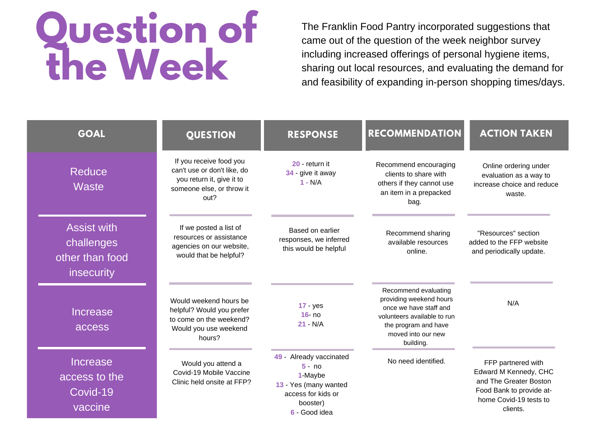## **Question of the Week**

The Franklin Food Pantry incorporated suggestions that came out of the question of the week neighbor survey including increased offerings of personal hygiene items, sharing out local resources, and evaluating the demand for and feasibility of expanding in-person shopping times/days.

| <b>GOAL</b>                                                       | <b>QUESTION</b>                                                                                                          | <b>RESPONSE</b>                                                                                                            | <b>RECOMMENDATION</b>                                                                                                                                               | <b>ACTION TAKEN</b>                                                                                                                     |
|-------------------------------------------------------------------|--------------------------------------------------------------------------------------------------------------------------|----------------------------------------------------------------------------------------------------------------------------|---------------------------------------------------------------------------------------------------------------------------------------------------------------------|-----------------------------------------------------------------------------------------------------------------------------------------|
| Reduce<br><b>Waste</b>                                            | If you receive food you<br>can't use or don't like, do<br>you return it, give it to<br>someone else, or throw it<br>out? | 20 - return it<br>34 - give it away<br>$1 - N/A$                                                                           | Recommend encouraging<br>clients to share with<br>others if they cannot use<br>an item in a prepacked<br>bag.                                                       | Online ordering under<br>evaluation as a way to<br>increase choice and reduce<br>waste.                                                 |
| <b>Assist with</b><br>challenges<br>other than food<br>insecurity | If we posted a list of<br>resources or assistance<br>agencies on our website,<br>would that be helpful?                  | Based on earlier<br>responses, we inferred<br>this would be helpful                                                        | Recommend sharing<br>available resources<br>online.                                                                                                                 | "Resources" section<br>added to the FFP website<br>and periodically update.                                                             |
| <b>Increase</b><br>access                                         | Would weekend hours be<br>helpful? Would you prefer<br>to come on the weekend?<br>Would you use weekend<br>hours?        | $17 - yes$<br>$16 - n0$<br>$21 - N/A$                                                                                      | Recommend evaluating<br>providing weekend hours<br>once we have staff and<br>volunteers available to run<br>the program and have<br>moved into our new<br>building. | N/A                                                                                                                                     |
| <b>Increase</b><br>access to the<br>Covid-19<br>vaccine           | Would you attend a<br>Covid-19 Mobile Vaccine<br>Clinic held onsite at FFP?                                              | 49 - Already vaccinated<br>$5 - no$<br>1-Maybe<br>13 - Yes (many wanted<br>access for kids or<br>booster)<br>6 - Good idea | No need identified.                                                                                                                                                 | FFP partnered with<br>Edward M Kennedy, CHC<br>and The Greater Boston<br>Food Bank to provide at-<br>home Covid-19 tests to<br>clients. |